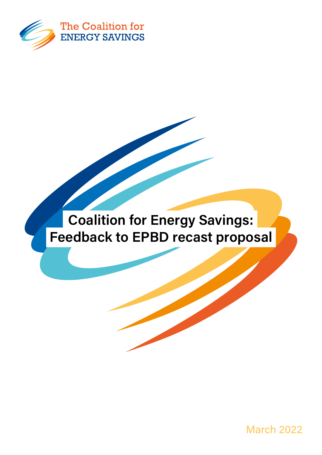

## Coalition for Energy Savings: Feedback to EPBD recast proposal

March 2022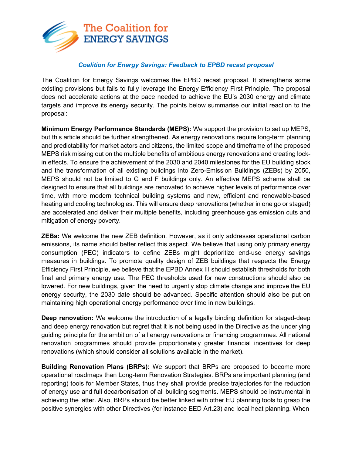

## *Coalition for Energy Savings: Feedback to EPBD recast proposal*

The Coalition for Energy Savings welcomes the EPBD recast proposal. It strengthens some existing provisions but fails to fully leverage the Energy Efficiency First Principle. The proposal does not accelerate actions at the pace needed to achieve the EU's 2030 energy and climate targets and improve its energy security. The points below summarise our initial reaction to the proposal:

**Minimum Energy Performance Standards (MEPS):** We support the provision to set up MEPS, but this article should be further strengthened. As energy renovations require long-term planning and predictability for market actors and citizens, the limited scope and timeframe of the proposed MEPS risk missing out on the multiple benefits of ambitious energy renovations and creating lockin effects. To ensure the achievement of the 2030 and 2040 milestones for the EU building stock and the transformation of all existing buildings into Zero-Emission Buildings (ZEBs) by 2050, MEPS should not be limited to G and F buildings only. An effective MEPS scheme shall be designed to ensure that all buildings are renovated to achieve higher levels of performance over time, with more modern technical building systems and new, efficient and renewable-based heating and cooling technologies. This will ensure deep renovations (whether in one go or staged) are accelerated and deliver their multiple benefits, including greenhouse gas emission cuts and mitigation of energy poverty.

**ZEBs:** We welcome the new ZEB definition. However, as it only addresses operational carbon emissions, its name should better reflect this aspect. We believe that using only primary energy consumption (PEC) indicators to define ZEBs might deprioritize end-use energy savings measures in buildings. To promote quality design of ZEB buildings that respects the Energy Efficiency First Principle, we believe that the EPBD Annex III should establish thresholds for both final and primary energy use. The PEC thresholds used for new constructions should also be lowered. For new buildings, given the need to urgently stop climate change and improve the EU energy security, the 2030 date should be advanced. Specific attention should also be put on maintaining high operational energy performance over time in new buildings.

**Deep renovation:** We welcome the introduction of a legally binding definition for staged-deep and deep energy renovation but regret that it is not being used in the Directive as the underlying guiding principle for the ambition of all energy renovations or financing programmes. All national renovation programmes should provide proportionately greater financial incentives for deep renovations (which should consider all solutions available in the market).

**Building Renovation Plans (BRPs):** We support that BRPs are proposed to become more operational roadmaps than Long-term Renovation Strategies. BRPs are important planning (and reporting) tools for Member States, thus they shall provide precise trajectories for the reduction of energy use and full decarbonisation of all building segments. MEPS should be instrumental in achieving the latter. Also, BRPs should be better linked with other EU planning tools to grasp the positive synergies with other Directives (for instance EED Art.23) and local heat planning. When